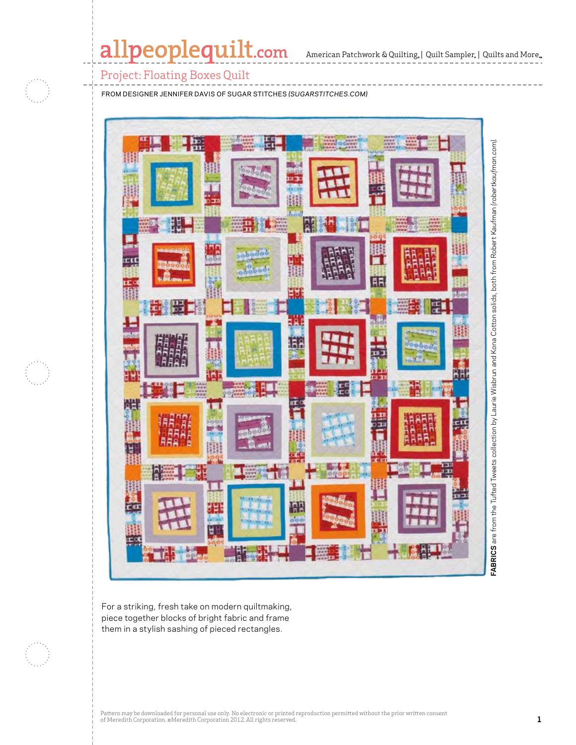# allpeoplequilt.com

American Patchwork & Quilting,  $|$  Quilt Sampler,  $|$  Quilts and More,  $\,$ 

### Project: Floating Boxes Quilt

from designer Jennifer davis of Sugar stitches *(sugarstitches.com)*



For a striking, fresh take on modern quiltmaking, piece together blocks of bright fabric and frame them in a stylish sashing of pieced rectangles.

Pattern may be downloaded for personal use only. No electronic or printed reproduction permitted without the prior written consent of Meredith Corporation. ©Meredith Corporation 2012. All rights reserved. **1**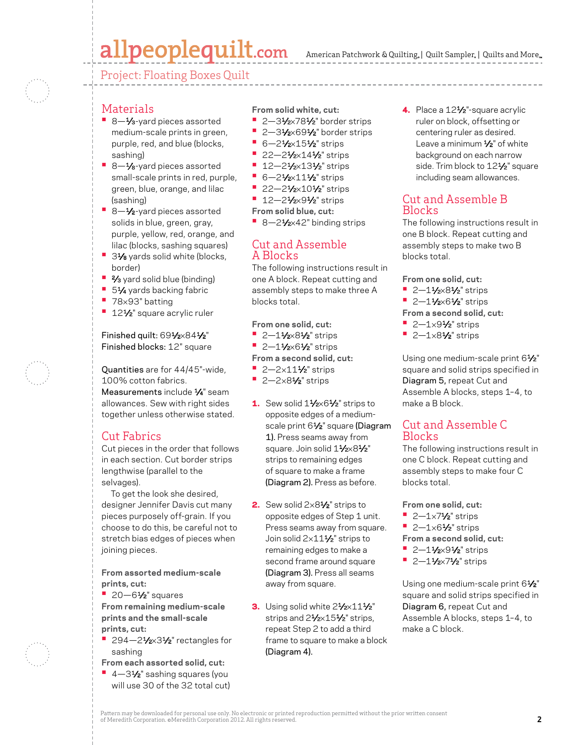# allpeoplequilt.com

American Patchwork & Quilting,  $|$  Quilt Sampler,  $|$  Quilts and More,

Project: Floating Boxes Quilt

### **Materials**

- 8-1⁄<sub>3</sub>-yard pieces assorted medium-scale prints in green, purple, red, and blue (blocks, sashing)
- 8-1⁄8-yard pieces assorted small-scale prints in red, purple, green, blue, orange, and lilac (sashing)
- 8-1⁄2-yard pieces assorted solids in blue, green, gray, purple, yellow, red, orange, and lilac (blocks, sashing squares)
- 31⁄8 yards solid white (blocks, border)
- **•** 2⁄<sub>3</sub> yard solid blue (binding)
- **51⁄4 yards backing fabric**
- **•**  <sup>78</sup>×93" batting
- <sup>•</sup> 12<sup>1</sup>/<sub>2</sub>" square acrylic ruler

#### Finished quilt: 691/2×841/2" Finished blocks: 12" square

Quantities are for 44/45"-wide, 100% cotton fabrics.

Measurements include  $\frac{1}{4}$ " seam allowances. Sew with right sides together unless otherwise stated.

## Cut Fabrics

Cut pieces in the order that follows in each section. Cut border strips lengthwise (parallel to the selvages).

To get the look she desired, designer Jennifer Davis cut many pieces purposely off-grain. If you choose to do this, be careful not to stretch bias edges of pieces when joining pieces.

**From assorted medium-scale prints, cut:**

**•**  20—61⁄2" squares **From remaining medium-scale prints and the small-scale prints, cut:**

- **294–21/2×31/2**" rectangles for sashing
- **From each assorted solid, cut:**
- **•**  4—31⁄2" sashing squares (you will use 30 of the 32 total cut)

**From solid white, cut:**

- **2–31/2×781/2**" border strips
- **2–31/2×691/2**" border strips
- **•** 6-21⁄2×151⁄2" strips
- **•** 22-21/<sub>2</sub>×141/<sub>2</sub>" strips
- **•** 12–21⁄2×131⁄2" strips
- **•** 6-21/<sub>2</sub>×111/<sub>2</sub> strips
- **•** 22–21⁄<sub>2</sub>×101⁄<sub>2</sub>" strips
- **•** 12–21⁄<sub>2</sub>×91⁄<sub>2</sub>" strips
- **From solid blue, cut:**
- 8-21⁄<sub>2×42</sub>" binding strips

#### Cut and Assemble A Blocks

The following instructions result in one A block. Repeat cutting and assembly steps to make three A blocks total.

**From one solid, cut:**

- **•** 2–11⁄2×81⁄2" strips
- **•** 2-11/2×61/2" strips
- **From a second solid, cut:**
- **•** 2-2×11<sup>1</sup>/<sub>2</sub>" strips
- **•**  2—2×81⁄2" strips
- 1. Sew solid 11/2×61/2" strips to opposite edges of a mediumscale print 61/<sub>2</sub>" square (Diagram 1). Press seams away from square. Join solid 11/2×81/2" strips to remaining edges of square to make a frame (Diagram 2). Press as before.
- **2.** Sew solid  $2 \times 8\frac{1}{2}$  strips to opposite edges of Step 1 unit. Press seams away from square. Join solid 2×11<sup>1</sup>/<sub>2</sub>" strips to remaining edges to make a second frame around square (Diagram 3). Press all seams away from square.
- 3. Using solid white  $2\frac{1}{2} \times 11\frac{1}{2}$ " strips and 21/2×151/2" strips, repeat Step 2 to add a third frame to square to make a block (Diagram 4).

4. Place a 12<sup>1</sup>/<sub>2</sub>"-square acrylic ruler on block, offsetting or centering ruler as desired. Leave a minimum 1/2" of white background on each narrow side. Trim block to 12<sup>1/2</sup>" square including seam allowances.

### Cut and Assemble B Blocks

The following instructions result in one B block. Repeat cutting and assembly steps to make two B blocks total.

**From one solid, cut:**

- **•** 2–11⁄2×81⁄2" strips
- **•** 2-11/2×61/2" strips

**From a second solid, cut:**

- **•**  2—1×91⁄2" strips
- **•**  2—1×81⁄2" strips

Using one medium-scale print 61/2" square and solid strips specified in Diagram 5, repeat Cut and Assemble A blocks, steps 1–4, to make a B block.

## Cut and Assemble C **Blocks**

The following instructions result in one C block. Repeat cutting and assembly steps to make four C blocks total.

**From one solid, cut:**

- 2—1×71⁄2" strips
- **•**  2—1×61⁄2" strips

**From a second solid, cut:**

- **•** 2-11⁄2×91⁄2" strips
- **•** 2–11⁄2×71⁄2" strips

Using one medium-scale print 61/2" square and solid strips specified in Diagram 6, repeat Cut and Assemble A blocks, steps 1–4, to make a C block.

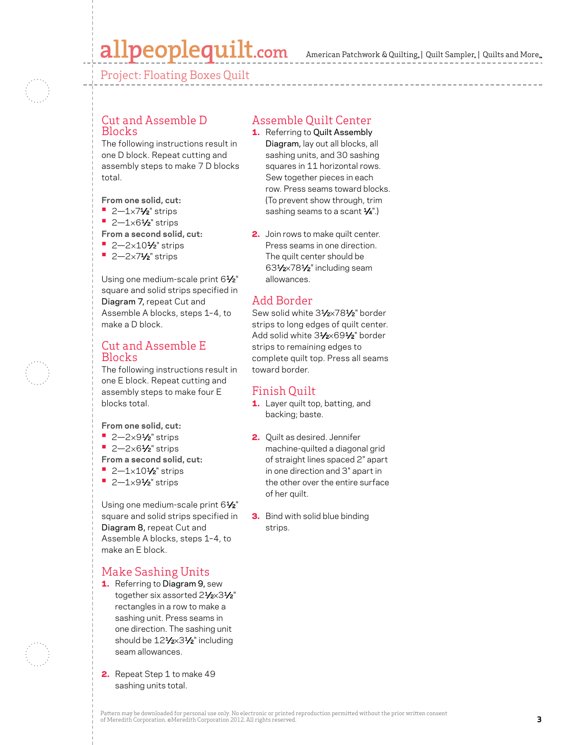# allpeoplequilt.com

American Patchwork & Quilting, | Quilt Sampler, | Quilts and More...

Project: Floating Boxes Quilt

### Cut and Assemble D Blocks

The following instructions result in one D block. Repeat cutting and assembly steps to make 7 D blocks total.

**From one solid, cut:**

- **•**  2—1×71⁄2" strips
- **•**  2—1×61⁄2" strips
- **From a second solid, cut:**
- **•** 2-2×10<sup>1</sup>/<sub>2</sub>" strips
- **•**  2—2×71⁄2" strips

Using one medium-scale print 61/2" square and solid strips specified in Diagram 7, repeat Cut and Assemble A blocks, steps 1–4, to make a D block.

### Cut and Assemble E **Blocks**

The following instructions result in one E block. Repeat cutting and assembly steps to make four E blocks total.

- **From one solid, cut:**
- 2-2×9<sup>1</sup>⁄<sub>2</sub>" strips
- **•**  2—2×61⁄2" strips

**From a second solid, cut:**

- **•** 2-1×10<sup>1</sup>/<sub>2</sub>" strips
- **•**  2—1×91⁄2" strips

Using one medium-scale print 61/2" square and solid strips specified in Diagram 8, repeat Cut and Assemble A blocks, steps 1–4, to make an E block.

# Make Sashing Units

- 1. Referring to Diagram 9, sew together six assorted 21/2×31/2" rectangles in a row to make a sashing unit. Press seams in one direction. The sashing unit should be 12<sup>1</sup>/<sub>2</sub>×3<sup>1</sup>/<sub>2</sub>" including seam allowances.
- 2. Repeat Step 1 to make 49 sashing units total.

### Assemble Quilt Center

- 1. Referring to Quilt Assembly Diagram, lay out all blocks, all sashing units, and 30 sashing squares in 11 horizontal rows. Sew together pieces in each row. Press seams toward blocks. (To prevent show through, trim sashing seams to a scant  $\frac{1}{4}$ ".)
- 2. Join rows to make quilt center. Press seams in one direction. The quilt center should be 631⁄2×781⁄2" including seam allowances.

### Add Border

Sew solid white 31/2×781/2" border strips to long edges of quilt center. Add solid white 31/2×691/2" border strips to remaining edges to complete quilt top. Press all seams toward border.

### Finish Quilt

- 1. Layer quilt top, batting, and backing; baste.
- 2. Quilt as desired. Jennifer machine-quilted a diagonal grid of straight lines spaced 2" apart in one direction and 3" apart in the other over the entire surface of her quilt.
- **3.** Bind with solid blue binding strips.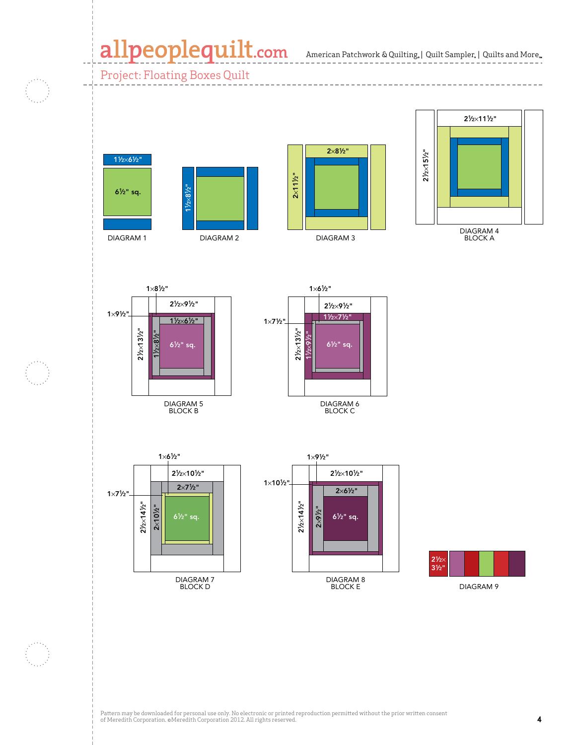# allpeoplequilt.com American Patchwork & Quilting, | Quilt Sampler, | Quilts and More..

Project: Floating Boxes Quilt



CMR 4661544









Quilts and More Summer 2012





DIAGRAM 6 BLOCK C







Pattern may be downloaded for personal use only. No electronic or printed reproduction permitted without the prior written consent of Meredith Corporation. ©Meredith Corporation 2012. All rights reserved. **4**